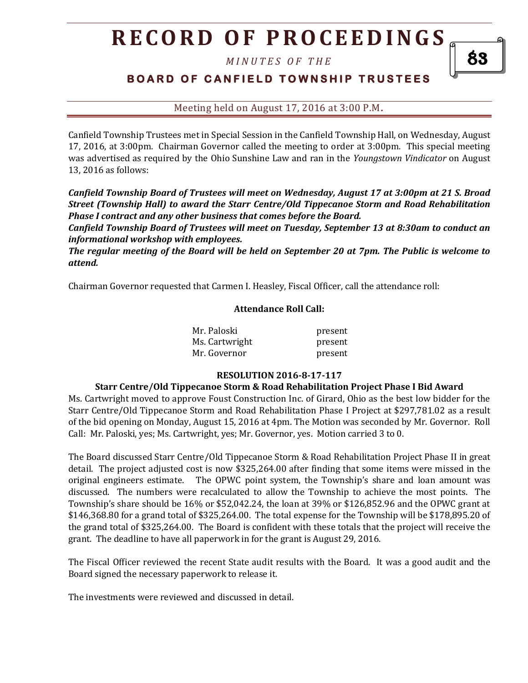# **R E C O R D O F P R O C E E D I N GS**

*M I N U T E S O F T H E* 

## **BOARD OF CANFIELD TOWNSHIP TRUSTEES**

Meeting held on August 17, 2016 at 3:00 P.M**.**

Canfield Township Trustees met in Special Session in the Canfield Township Hall, on Wednesday, August 17, 2016, at 3:00pm. Chairman Governor called the meeting to order at 3:00pm. This special meeting was advertised as required by the Ohio Sunshine Law and ran in the *Youngstown Vindicator* on August 13, 2016 as follows:

*Canfield Township Board of Trustees will meet on Wednesday, August 17 at 3:00pm at 21 S. Broad Street (Township Hall) to award the Starr Centre/Old Tippecanoe Storm and Road Rehabilitation Phase I contract and any other business that comes before the Board.*

*Canfield Township Board of Trustees will meet on Tuesday, September 13 at 8:30am to conduct an informational workshop with employees.* 

*The regular meeting of the Board will be held on September 20 at 7pm. The Public is welcome to attend.*

Chairman Governor requested that Carmen I. Heasley, Fiscal Officer, call the attendance roll:

#### **Attendance Roll Call:**

| Mr. Paloski    | present |
|----------------|---------|
| Ms. Cartwright | present |
| Mr. Governor   | present |

#### **RESOLUTION 2016-8-17-117**

#### **Starr Centre/Old Tippecanoe Storm & Road Rehabilitation Project Phase I Bid Award**

Ms. Cartwright moved to approve Foust Construction Inc. of Girard, Ohio as the best low bidder for the Starr Centre/Old Tippecanoe Storm and Road Rehabilitation Phase I Project at \$297,781.02 as a result of the bid opening on Monday, August 15, 2016 at 4pm. The Motion was seconded by Mr. Governor. Roll Call: Mr. Paloski, yes; Ms. Cartwright, yes; Mr. Governor, yes. Motion carried 3 to 0.

The Board discussed Starr Centre/Old Tippecanoe Storm & Road Rehabilitation Project Phase II in great detail. The project adjusted cost is now \$325,264.00 after finding that some items were missed in the original engineers estimate. The OPWC point system, the Township's share and loan amount was discussed. The numbers were recalculated to allow the Township to achieve the most points. The Township's share should be 16% or \$52,042.24, the loan at 39% or \$126,852.96 and the OPWC grant at \$146,368.80 for a grand total of \$325,264.00. The total expense for the Township will be \$178,895.20 of the grand total of \$325,264.00. The Board is confident with these totals that the project will receive the grant. The deadline to have all paperwork in for the grant is August 29, 2016.

The Fiscal Officer reviewed the recent State audit results with the Board. It was a good audit and the Board signed the necessary paperwork to release it.

The investments were reviewed and discussed in detail.

83